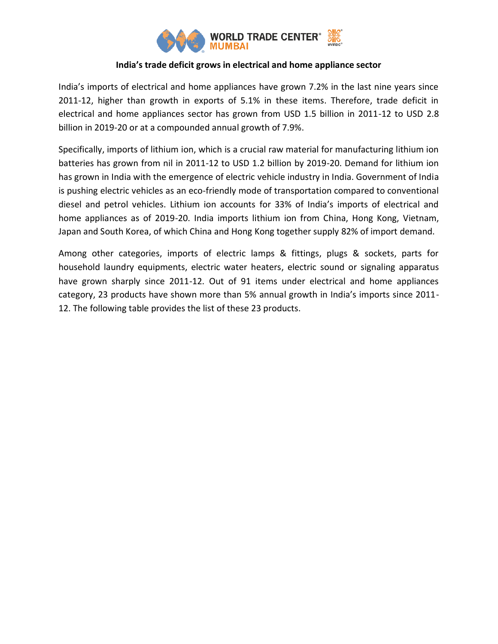

# **India's trade deficit grows in electrical and home appliance sector**

India's imports of electrical and home appliances have grown 7.2% in the last nine years since 2011-12, higher than growth in exports of 5.1% in these items. Therefore, trade deficit in electrical and home appliances sector has grown from USD 1.5 billion in 2011-12 to USD 2.8 billion in 2019-20 or at a compounded annual growth of 7.9%.

Specifically, imports of lithium ion, which is a crucial raw material for manufacturing lithium ion batteries has grown from nil in 2011-12 to USD 1.2 billion by 2019-20. Demand for lithium ion has grown in India with the emergence of electric vehicle industry in India. Government of India is pushing electric vehicles as an eco-friendly mode of transportation compared to conventional diesel and petrol vehicles. Lithium ion accounts for 33% of India's imports of electrical and home appliances as of 2019-20. India imports lithium ion from China, Hong Kong, Vietnam, Japan and South Korea, of which China and Hong Kong together supply 82% of import demand.

Among other categories, imports of electric lamps & fittings, plugs & sockets, parts for household laundry equipments, electric water heaters, electric sound or signaling apparatus have grown sharply since 2011-12. Out of 91 items under electrical and home appliances category, 23 products have shown more than 5% annual growth in India's imports since 2011- 12. The following table provides the list of these 23 products.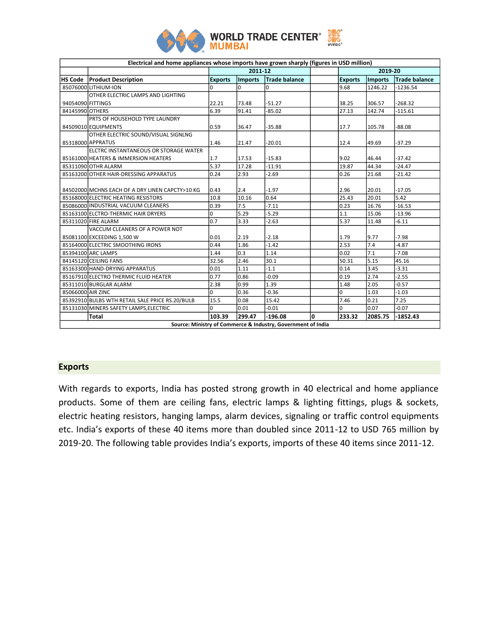

| Electrical and home appliances whose imports have grown sharply (figures in USD million) |                                                 |                |                |               |   |                |         |                      |
|------------------------------------------------------------------------------------------|-------------------------------------------------|----------------|----------------|---------------|---|----------------|---------|----------------------|
|                                                                                          |                                                 |                | 2011-12        |               |   | 2019-20        |         |                      |
| <b>HS Code</b>                                                                           | <b>Product Description</b>                      | <b>Exports</b> | <b>Imports</b> | Trade balance |   | <b>Exports</b> | Imports | <b>Trade balance</b> |
|                                                                                          | 85076000LITHIUM-ION                             | $\Omega$       | $\Omega$       | 0             |   | 9.68           | 1246.22 | $-1236.54$           |
|                                                                                          | OTHER ELECTRIC LAMPS AND LIGHTING               |                |                |               |   |                |         |                      |
| 94054090 FITTINGS                                                                        |                                                 | 22.21          | 73.48          | $-51.27$      |   | 38.25          | 306.57  | $-268.32$            |
| 84145990 OTHERS                                                                          |                                                 | 6.39           | 91.41          | $-85.02$      |   | 27.13          | 142.74  | $-115.61$            |
|                                                                                          | PRTS OF HOUSEHOLD TYPE LAUNDRY                  |                |                |               |   |                |         |                      |
|                                                                                          | 84509010 EQUIPMENTS                             | 0.59           | 36.47          | $-35.88$      |   | 17.7           | 105.78  | $-88.08$             |
|                                                                                          | OTHER ELECTRIC SOUND/VISUAL SIGNLNG             |                |                |               |   |                |         |                      |
|                                                                                          | 85318000 APPRATUS                               | 1.46           | 21.47          | $-20.01$      |   | 12.4           | 49.69   | $-37.29$             |
|                                                                                          | ELCTRC INSTANTANEOUS OR STORAGE WATER           |                |                |               |   |                |         |                      |
|                                                                                          | 85161000 HEATERS & IMMERSION HEATERS            | 1.7            | 17.53          | $-15.83$      |   | 9.02           | 46.44   | $-37.42$             |
|                                                                                          | 85311090 OTHR ALARM                             | 5.37           | 17.28          | $-11.91$      |   | 19.87          | 44.34   | $-24.47$             |
|                                                                                          | 85163200 OTHER HAIR-DRESSING APPARATUS          | 0.24           | 2.93           | $-2.69$       |   | 0.26           | 21.68   | $-21.42$             |
|                                                                                          |                                                 |                |                |               |   |                |         |                      |
|                                                                                          | 84502000 MCHNS EACH OF A DRY LINEN CAPCTY>10 KG | 0.43           | 2.4            | $-1.97$       |   | 2.96           | 20.01   | $-17.05$             |
|                                                                                          | 85168000 ELECTRIC HEATING RESISTORS             | 10.8           | 10.16          | 0.64          |   | 25.43          | 20.01   | 5.42                 |
|                                                                                          | 85086000 INDUSTRIAL VACUUM CLEANERS             | 0.39           | 7.5            | $-7.11$       |   | 0.23           | 16.76   | $-16.53$             |
|                                                                                          | 85163100 ELCTRO-THERMIC HAIR DRYERS             | 0              | 5.29           | $-5.29$       |   | 1.1            | 15.06   | $-13.96$             |
|                                                                                          | 85311020 FIRE ALARM                             | 0.7            | 3.33           | $-2.63$       |   | 5.37           | 11.48   | $-6.11$              |
|                                                                                          | VACCUM CLEANERS OF A POWER NOT                  |                |                |               |   |                |         |                      |
|                                                                                          | 85081100 EXCEEDING 1,500 W                      | 0.01           | 2.19           | $-2.18$       |   | 1.79           | 9.77    | $-7.98$              |
|                                                                                          | 85164000 ELECTRIC SMOOTHING IRONS               | 0.44           | 1.86           | $-1.42$       |   | 2.53           | 7.4     | $-4.87$              |
|                                                                                          | 85394100 ARC LAMPS                              | 1.44           | 0.3            | 1.14          |   | 0.02           | 7.1     | $-7.08$              |
|                                                                                          | 84145120 CEILING FANS                           | 32.56          | 2.46           | 30.1          |   | 50.31          | 5.15    | 45.16                |
|                                                                                          | 85163300 HAND-DRYING APPARATUS                  | 0.01           | 1.11           | $-1.1$        |   | 0.14           | 3.45    | $-3.31$              |
|                                                                                          | 85167910 ELECTRO THERMIC FLUID HEATER           | 0.77           | 0.86           | $-0.09$       |   | 0.19           | 2.74    | $-2.55$              |
|                                                                                          | 85311010 BURGLAR ALARM                          | 2.38           | 0.99           | 1.39          |   | 1.48           | 2.05    | $-0.57$              |
| 85066000 AIR ZINC                                                                        |                                                 | $\Omega$       | 0.36           | $-0.36$       |   | $\Omega$       | 1.03    | $-1.03$              |
|                                                                                          | 85392910 BULBS WTH RETAIL SALE PRICE RS.20/BULB | 15.5           | 0.08           | 15.42         |   | 7.46           | 0.21    | 7.25                 |
|                                                                                          | 85131030 MINERS SAFETY LAMPS, ELECTRIC          | 0              | 0.01           | $-0.01$       |   | $\Omega$       | 0.07    | $-0.07$              |
|                                                                                          | Total                                           | 103.39         | 299.47         | $-196.08$     | O | 233.32         | 2085.75 | $-1852.43$           |
| Course: Ministry of Commosso P. Industry, Covernment of India                            |                                                 |                |                |               |   |                |         |                      |

#### **Source: Ministry of Commerce & Industry, Government of India**

# **Exports**

With regards to exports, India has posted strong growth in 40 electrical and home appliance products. Some of them are ceiling fans, electric lamps & lighting fittings, plugs & sockets, electric heating resistors, hanging lamps, alarm devices, signaling or traffic control equipments etc. India's exports of these 40 items more than doubled since 2011-12 to USD 765 million by 2019-20. The following table provides India's exports, imports of these 40 items since 2011-12.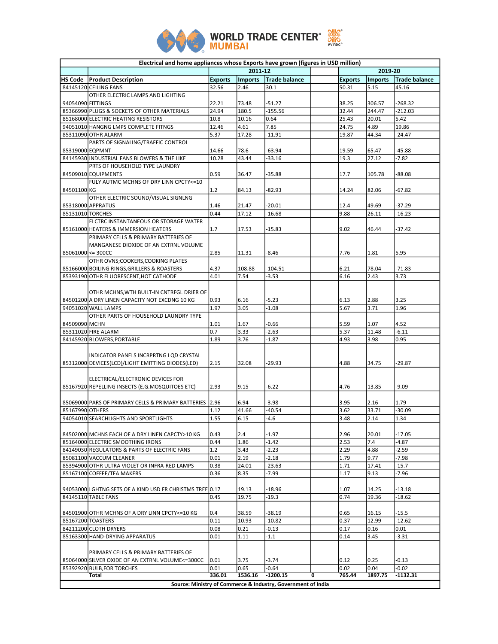

|                                                              | Electrical and home appliances whose Exports have grown (figures in USD million)   |                |                |                   |   |                |                  |                      |
|--------------------------------------------------------------|------------------------------------------------------------------------------------|----------------|----------------|-------------------|---|----------------|------------------|----------------------|
|                                                              |                                                                                    |                | 2011-12        |                   |   |                | 2019-20          |                      |
|                                                              | HS Code   Product Description                                                      | <b>Exports</b> | <b>Imports</b> | Trade balance     |   | <b>Exports</b> | <b>Imports</b>   | <b>Trade balance</b> |
|                                                              | 84145120 CEILING FANS                                                              | 32.56          | 2.46           | 30.1              |   | 50.31          | 5.15             | 45.16                |
|                                                              | OTHER ELECTRIC LAMPS AND LIGHTING                                                  |                |                |                   |   |                |                  | $-268.32$            |
| 94054090 FITTINGS                                            |                                                                                    | 22.21<br>24.94 | 73.48<br>180.5 | $-51.27$          |   | 38.25<br>32.44 | 306.57<br>244.47 | $-212.03$            |
|                                                              | 85366990 PLUGS & SOCKETS OF OTHER MATERIALS<br>85168000 ELECTRIC HEATING RESISTORS | 10.8           | 10.16          | $-155.56$<br>0.64 |   | 25.43          | 20.01            | 5.42                 |
|                                                              | 94051010 HANGNG LMPS COMPLETE FITNGS                                               | 12.46          | 4.61           | 7.85              |   | 24.75          | 4.89             | 19.86                |
|                                                              | 85311090 OTHR ALARM                                                                | 5.37           | 17.28          | $-11.91$          |   | 19.87          | 44.34            | $-24.47$             |
|                                                              | PARTS OF SIGNALING/TRAFFIC CONTROL                                                 |                |                |                   |   |                |                  |                      |
| 85319000 EQPMNT                                              |                                                                                    | 14.66          | 78.6           | $-63.94$          |   | 19.59          | 65.47            | $-45.88$             |
|                                                              | 84145930 INDUSTRIAL FANS BLOWERS & THE LIKE                                        | 10.28          | 43.44          | $-33.16$          |   | 19.3           | 27.12            | $-7.82$              |
|                                                              | PRTS OF HOUSEHOLD TYPE LAUNDRY                                                     |                |                |                   |   |                |                  |                      |
|                                                              | 84509010 EQUIPMENTS                                                                | 0.59           | 36.47          | $-35.88$          |   | 17.7           | 105.78           | $-88.08$             |
|                                                              | FULY AUTMC MCHNS OF DRY LINN CPCTY<=10                                             |                |                |                   |   |                |                  |                      |
| 84501100 KG                                                  |                                                                                    | 1.2            | 84.13          | $-82.93$          |   | 14.24          | 82.06            | $-67.82$             |
|                                                              | OTHER ELECTRIC SOUND/VISUAL SIGNLNG                                                |                |                |                   |   |                |                  |                      |
|                                                              | 85318000 APPRATUS                                                                  | 1.46           | 21.47          | $-20.01$          |   | 12.4           | 49.69            | $-37.29$             |
| 85131010 TORCHES                                             |                                                                                    | 0.44           | 17.12          | $-16.68$          |   | 9.88           | 26.11            | $-16.23$             |
|                                                              | ELCTRC INSTANTANEOUS OR STORAGE WATER                                              |                |                |                   |   |                |                  |                      |
|                                                              | 85161000 HEATERS & IMMERSION HEATERS                                               | 1.7            | 17.53          | $-15.83$          |   | 9.02           | 46.44            | $-37.42$             |
|                                                              | PRIMARY CELLS & PRIMARY BATTERIES OF                                               |                |                |                   |   |                |                  |                      |
|                                                              | MANGANESE DIOXIDE OF AN EXTRNL VOLUME                                              |                |                |                   |   |                |                  |                      |
| 85061000 <= 300CC                                            |                                                                                    | 2.85           | 11.31          | -8.46             |   | 7.76           | 1.81             | 5.95                 |
|                                                              | OTHR OVNS;COOKERS,COOKING PLATES                                                   |                |                |                   |   |                |                  |                      |
|                                                              | 85166000 BOILING RINGS, GRILLERS & ROASTERS                                        | 4.37           | 108.88         | $-104.51$         |   | 6.21           | 78.04            | $-71.83$             |
|                                                              | 85393190 OTHR FLUORESCENT, HOT CATHODE                                             | 4.01           | 7.54           | $-3.53$           |   | 6.16           | 2.43             | 3.73                 |
|                                                              | OTHR MCHNS, WTH BUILT-IN CNTRFGL DRIER OF                                          |                |                |                   |   |                |                  |                      |
|                                                              | 84501200 A DRY LINEN CAPACITY NOT EXCDNG 10 KG                                     | 0.93           | 6.16           | $-5.23$           |   | 6.13           | 2.88             | 3.25                 |
|                                                              | 94051020 WALL LAMPS                                                                | 1.97           | 3.05           | $-1.08$           |   | 5.67           | 3.71             | 1.96                 |
|                                                              | OTHER PARTS OF HOUSEHOLD LAUNDRY TYPE                                              |                |                |                   |   |                |                  |                      |
| 84509090 MCHN                                                |                                                                                    | 1.01           | 1.67           | -0.66             |   | 5.59           | 1.07             | 4.52                 |
|                                                              | 85311020 FIRE ALARM                                                                | 0.7            | 3.33           | $-2.63$           |   | 5.37           | 11.48            | $-6.11$              |
|                                                              | 84145920 BLOWERS, PORTABLE                                                         | 1.89           | 3.76           | -1.87             |   | 4.93           | 3.98             | 0.95                 |
|                                                              |                                                                                    |                |                |                   |   |                |                  |                      |
|                                                              | INDICATOR PANELS INCRPRTNG LQD CRYSTAL                                             |                |                |                   |   |                |                  |                      |
|                                                              | 85312000 DEVICES (LCD)/LIGHT EMITTING DIODES (LED)                                 | 2.15           | 32.08          | $-29.93$          |   | 4.88           | 34.75            | $-29.87$             |
|                                                              |                                                                                    |                |                |                   |   |                |                  |                      |
|                                                              | ELECTRICAL/ELECTRONIC DEVICES FOR                                                  |                |                |                   |   |                |                  |                      |
|                                                              | 85167920 REPELLING INSECTS (E.G.MOSQUITOES ETC)                                    | 2.93           | 9.15           | $-6.22$           |   | 4.76           | 13.85            | $-9.09$              |
|                                                              |                                                                                    |                |                |                   |   |                |                  |                      |
|                                                              | 85069000 PARS OF PRIMARY CELLS & PRIMARY BATTERIES 2.96                            |                | 6.94           | $-3.98$           |   | 3.95           | 2.16             | 1.79                 |
| 85167990 OTHERS                                              |                                                                                    | 1.12           | 41.66          | $-40.54$          |   | 3.62           | 33.71            | $-30.09$             |
|                                                              | 94054010 SEARCHLIGHTS AND SPORTLIGHTS                                              | 1.55           | 6.15           | $-4.6$            |   | 3.48           | 2.14             | 1.34                 |
|                                                              |                                                                                    |                |                |                   |   |                |                  |                      |
|                                                              | 84502000 MCHNS EACH OF A DRY LINEN CAPCTY>10 KG                                    | 0.43           | 2.4            | $-1.97$           |   | 2.96           | 20.01            | $-17.05$             |
|                                                              | 85164000 ELECTRIC SMOOTHING IRONS                                                  | 0.44           | 1.86           | $-1.42$           |   | 2.53           | 7.4              | $-4.87$              |
|                                                              | 84149030 REGULATORS & PARTS OF ELECTRIC FANS                                       | 1.2            | 3.43           | $-2.23$           |   | 2.29           | 4.88             | $-2.59$              |
|                                                              | 85081100 VACCUM CLEANER                                                            | 0.01           | 2.19           | $-2.18$           |   | 1.79           | 9.77             | $-7.98$              |
|                                                              | 85394900 OTHR ULTRA VIOLET OR INFRA-RED LAMPS                                      | 0.38           | 24.01          | $-23.63$          |   | 1.71           | 17.41            | $-15.7$              |
|                                                              | 85167100 COFFEE/TEA MAKERS                                                         | 0.36           | 8.35           | -7.99             |   | 1.17           | 9.13             | $-7.96$              |
|                                                              | 94053000 LGHTNG SETS OF A KIND USD FR CHRISTMS TREE 0.17                           |                | 19.13          | $-18.96$          |   | 1.07           | 14.25            | -13.18               |
|                                                              | 84145110 TABLE FANS                                                                | 0.45           | 19.75          | -19.3             |   | 0.74           | 19.36            | $-18.62$             |
|                                                              |                                                                                    |                |                |                   |   |                |                  |                      |
|                                                              | 84501900 OTHR MCHNS OF A DRY LINN CPCTY<=10 KG                                     | 0.4            | 38.59          | $-38.19$          |   | 0.65           | 16.15            | $-15.5$              |
|                                                              | 85167200 TOASTERS                                                                  | 0.11           | 10.93          | $-10.82$          |   | 0.37           | 12.99            | $-12.62$             |
|                                                              | 84211200 CLOTH DRYERS                                                              | 0.08           | 0.21           | $-0.13$           |   | 0.17           | 0.16             | 0.01                 |
|                                                              | 85163300 HAND-DRYING APPARATUS                                                     | 0.01           | 1.11           | $-1.1$            |   | 0.14           | 3.45             | $-3.31$              |
|                                                              |                                                                                    |                |                |                   |   |                |                  |                      |
|                                                              | PRIMARY CELLS & PRIMARY BATTERIES OF                                               |                |                |                   |   |                |                  |                      |
|                                                              | 85064000 SILVER OXIDE OF AN EXTRNL VOLUME<=300CC                                   | 0.01           | 3.75           | $-3.74$           |   | 0.12           | 0.25             | $-0.13$              |
|                                                              | 85392920 BULB, FOR TORCHES                                                         | 0.01           | 0.65           | $-0.64$           |   | 0.02           | 0.04             | $-0.02$              |
|                                                              | Total                                                                              | 336.01         | 1536.16        | $-1200.15$        | 0 | 765.44         | 1897.75          | $-1132.31$           |
| Source: Ministry of Commerce & Industry, Government of India |                                                                                    |                |                |                   |   |                |                  |                      |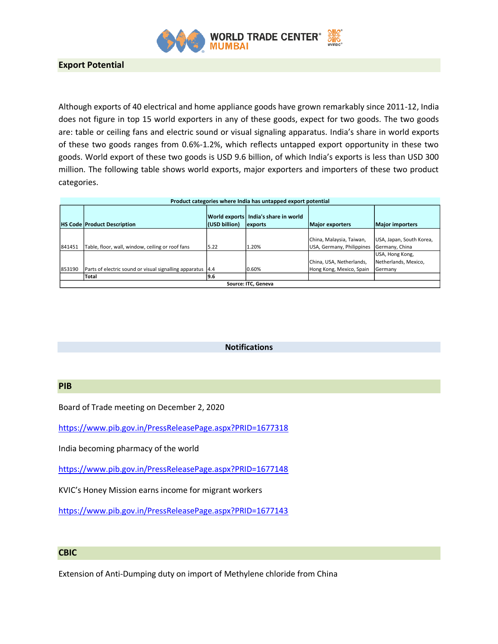

Although exports of 40 electrical and home appliance goods have grown remarkably since 2011-12, India does not figure in top 15 world exporters in any of these goods, expect for two goods. The two goods are: table or ceiling fans and electric sound or visual signaling apparatus. India's share in world exports of these two goods ranges from 0.6%-1.2%, which reflects untapped export opportunity in these two goods. World export of these two goods is USD 9.6 billion, of which India's exports is less than USD 300 million. The following table shows world exports, major exporters and importers of these two product categories.

| Product categories where India has untapped export potential |                                                             |               |                                                   |                                                       |                                                    |  |  |
|--------------------------------------------------------------|-------------------------------------------------------------|---------------|---------------------------------------------------|-------------------------------------------------------|----------------------------------------------------|--|--|
|                                                              | <b>HS Code Product Description</b>                          | (USD billion) | World exports   India's share in world<br>exports | <b>Major exporters</b>                                | <b>Major importers</b>                             |  |  |
| 841451                                                       | Table, floor, wall, window, ceiling or roof fans            | 5.22          | 1.20%                                             | China, Malaysia, Taiwan,<br>USA, Germany, Philippines | USA, Japan, South Korea,<br>Germany, China         |  |  |
| 853190                                                       | Parts of electric sound or visual signalling apparatus 14.4 |               | 0.60%                                             | China, USA, Netherlands,<br>Hong Kong, Mexico, Spain  | USA, Hong Kong,<br>Netherlands, Mexico,<br>Germany |  |  |
|                                                              | Total                                                       | 9.6           |                                                   |                                                       |                                                    |  |  |
| Source: ITC. Geneva                                          |                                                             |               |                                                   |                                                       |                                                    |  |  |

#### **Notifications**

# **PIB**

Board of Trade meeting on December 2, 2020

<https://www.pib.gov.in/PressReleasePage.aspx?PRID=1677318>

India becoming pharmacy of the world

<https://www.pib.gov.in/PressReleasePage.aspx?PRID=1677148>

KVIC's Honey Mission earns income for migrant workers

<https://www.pib.gov.in/PressReleasePage.aspx?PRID=1677143>

### **CBIC**

Extension of Anti-Dumping duty on import of Methylene chloride from China